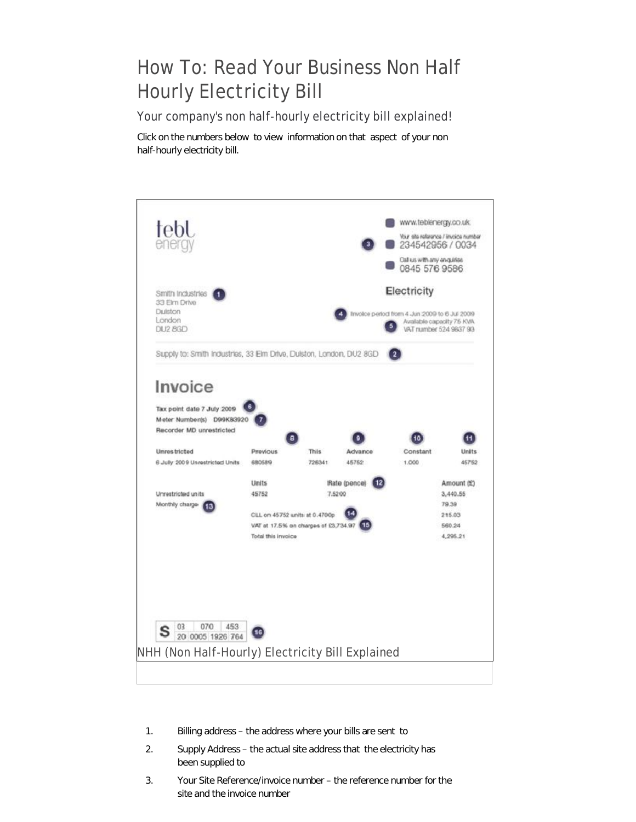## How To: Read Your Business Non Half Hourly Electricity Bill

Your company's non half-hourly electricity bill explained!

Click on the numbers below to view information on that aspect of your non half-hourly electricity bill.



- 1. Billing address – the address where your bills are sent to
- 2. Supply Address – the actual site address that the electricity has been supplied to
- 3. Your Site Reference/invoice number – the reference number for the site and the invoice number